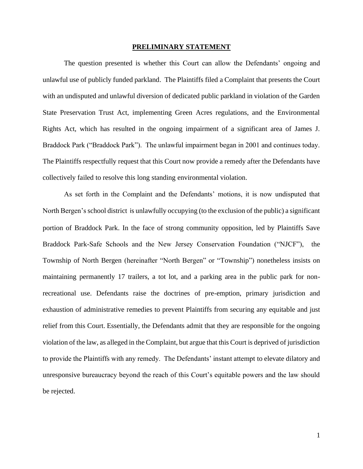#### **PRELIMINARY STATEMENT**

The question presented is whether this Court can allow the Defendants' ongoing and unlawful use of publicly funded parkland. The Plaintiffs filed a Complaint that presents the Court with an undisputed and unlawful diversion of dedicated public parkland in violation of the Garden State Preservation Trust Act, implementing Green Acres regulations, and the Environmental Rights Act, which has resulted in the ongoing impairment of a significant area of James J. Braddock Park ("Braddock Park"). The unlawful impairment began in 2001 and continues today. The Plaintiffs respectfully request that this Court now provide a remedy after the Defendants have collectively failed to resolve this long standing environmental violation.

As set forth in the Complaint and the Defendants' motions, it is now undisputed that North Bergen's school district is unlawfully occupying (to the exclusion of the public) a significant portion of Braddock Park. In the face of strong community opposition, led by Plaintiffs Save Braddock Park-Safe Schools and the New Jersey Conservation Foundation ("NJCF"), the Township of North Bergen (hereinafter "North Bergen" or "Township") nonetheless insists on maintaining permanently 17 trailers, a tot lot, and a parking area in the public park for nonrecreational use. Defendants raise the doctrines of pre-emption, primary jurisdiction and exhaustion of administrative remedies to prevent Plaintiffs from securing any equitable and just relief from this Court. Essentially, the Defendants admit that they are responsible for the ongoing violation of the law, as alleged in the Complaint, but argue that this Court is deprived of jurisdiction to provide the Plaintiffs with any remedy. The Defendants' instant attempt to elevate dilatory and unresponsive bureaucracy beyond the reach of this Court's equitable powers and the law should be rejected.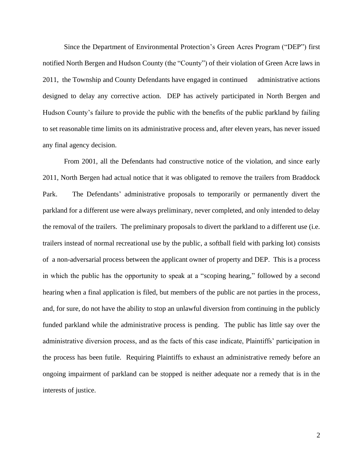Since the Department of Environmental Protection's Green Acres Program ("DEP") first notified North Bergen and Hudson County (the "County") of their violation of Green Acre laws in 2011, the Township and County Defendants have engaged in continued administrative actions designed to delay any corrective action. DEP has actively participated in North Bergen and Hudson County's failure to provide the public with the benefits of the public parkland by failing to set reasonable time limits on its administrative process and, after eleven years, has never issued any final agency decision.

From 2001, all the Defendants had constructive notice of the violation, and since early 2011, North Bergen had actual notice that it was obligated to remove the trailers from Braddock Park. The Defendants' administrative proposals to temporarily or permanently divert the parkland for a different use were always preliminary, never completed, and only intended to delay the removal of the trailers. The preliminary proposals to divert the parkland to a different use (i.e. trailers instead of normal recreational use by the public, a softball field with parking lot) consists of a non-adversarial process between the applicant owner of property and DEP. This is a process in which the public has the opportunity to speak at a "scoping hearing," followed by a second hearing when a final application is filed, but members of the public are not parties in the process, and, for sure, do not have the ability to stop an unlawful diversion from continuing in the publicly funded parkland while the administrative process is pending. The public has little say over the administrative diversion process, and as the facts of this case indicate, Plaintiffs' participation in the process has been futile. Requiring Plaintiffs to exhaust an administrative remedy before an ongoing impairment of parkland can be stopped is neither adequate nor a remedy that is in the interests of justice.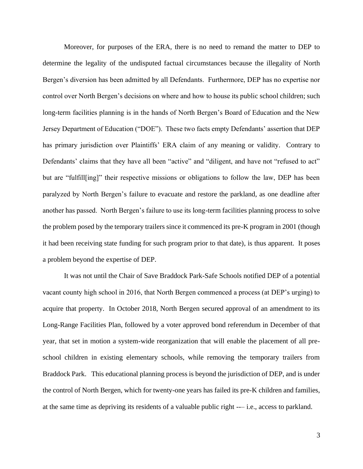Moreover, for purposes of the ERA, there is no need to remand the matter to DEP to determine the legality of the undisputed factual circumstances because the illegality of North Bergen's diversion has been admitted by all Defendants. Furthermore, DEP has no expertise nor control over North Bergen's decisions on where and how to house its public school children; such long-term facilities planning is in the hands of North Bergen's Board of Education and the New Jersey Department of Education ("DOE"). These two facts empty Defendants' assertion that DEP has primary jurisdiction over Plaintiffs' ERA claim of any meaning or validity. Contrary to Defendants' claims that they have all been "active" and "diligent, and have not "refused to act" but are "fulfill[ing]" their respective missions or obligations to follow the law, DEP has been paralyzed by North Bergen's failure to evacuate and restore the parkland, as one deadline after another has passed. North Bergen's failure to use its long-term facilities planning process to solve the problem posed by the temporary trailers since it commenced its pre-K program in 2001 (though it had been receiving state funding for such program prior to that date), is thus apparent. It poses a problem beyond the expertise of DEP.

It was not until the Chair of Save Braddock Park-Safe Schools notified DEP of a potential vacant county high school in 2016, that North Bergen commenced a process (at DEP's urging) to acquire that property. In October 2018, North Bergen secured approval of an amendment to its Long-Range Facilities Plan, followed by a voter approved bond referendum in December of that year, that set in motion a system-wide reorganization that will enable the placement of all preschool children in existing elementary schools, while removing the temporary trailers from Braddock Park. This educational planning process is beyond the jurisdiction of DEP, and is under the control of North Bergen, which for twenty-one years has failed its pre-K children and families, at the same time as depriving its residents of a valuable public right --– i.e., access to parkland.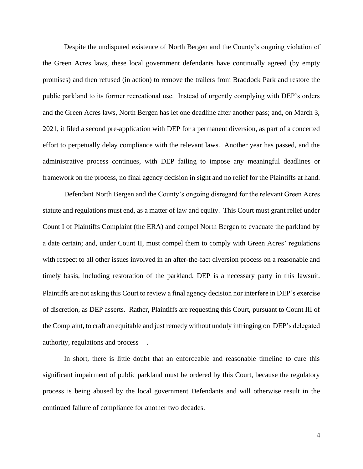Despite the undisputed existence of North Bergen and the County's ongoing violation of the Green Acres laws, these local government defendants have continually agreed (by empty promises) and then refused (in action) to remove the trailers from Braddock Park and restore the public parkland to its former recreational use. Instead of urgently complying with DEP's orders and the Green Acres laws, North Bergen has let one deadline after another pass; and, on March 3, 2021, it filed a second pre-application with DEP for a permanent diversion, as part of a concerted effort to perpetually delay compliance with the relevant laws. Another year has passed, and the administrative process continues, with DEP failing to impose any meaningful deadlines or framework on the process, no final agency decision in sight and no relief for the Plaintiffs at hand.

Defendant North Bergen and the County's ongoing disregard for the relevant Green Acres statute and regulations must end, as a matter of law and equity. This Court must grant relief under Count I of Plaintiffs Complaint (the ERA) and compel North Bergen to evacuate the parkland by a date certain; and, under Count II, must compel them to comply with Green Acres' regulations with respect to all other issues involved in an after-the-fact diversion process on a reasonable and timely basis, including restoration of the parkland. DEP is a necessary party in this lawsuit. Plaintiffs are not asking this Court to review a final agency decision nor interfere in DEP's exercise of discretion, as DEP asserts. Rather, Plaintiffs are requesting this Court, pursuant to Count III of the Complaint, to craft an equitable and just remedy without unduly infringing on DEP's delegated authority, regulations and process .

In short, there is little doubt that an enforceable and reasonable timeline to cure this significant impairment of public parkland must be ordered by this Court, because the regulatory process is being abused by the local government Defendants and will otherwise result in the continued failure of compliance for another two decades.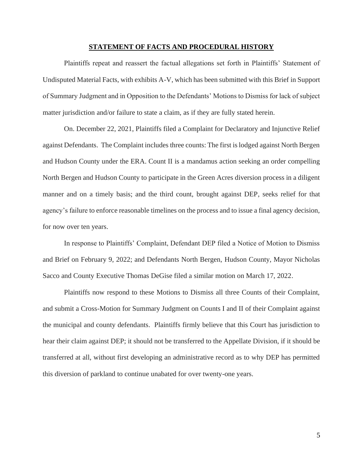#### **STATEMENT OF FACTS AND PROCEDURAL HISTORY**

Plaintiffs repeat and reassert the factual allegations set forth in Plaintiffs' Statement of Undisputed Material Facts, with exhibits A-V, which has been submitted with this Brief in Support of Summary Judgment and in Opposition to the Defendants' Motions to Dismiss for lack of subject matter jurisdiction and/or failure to state a claim, as if they are fully stated herein.

On. December 22, 2021, Plaintiffs filed a Complaint for Declaratory and Injunctive Relief against Defendants. The Complaint includes three counts: The first is lodged against North Bergen and Hudson County under the ERA. Count II is a mandamus action seeking an order compelling North Bergen and Hudson County to participate in the Green Acres diversion process in a diligent manner and on a timely basis; and the third count, brought against DEP, seeks relief for that agency's failure to enforce reasonable timelines on the process and to issue a final agency decision, for now over ten years.

In response to Plaintiffs' Complaint, Defendant DEP filed a Notice of Motion to Dismiss and Brief on February 9, 2022; and Defendants North Bergen, Hudson County, Mayor Nicholas Sacco and County Executive Thomas DeGise filed a similar motion on March 17, 2022.

Plaintiffs now respond to these Motions to Dismiss all three Counts of their Complaint, and submit a Cross-Motion for Summary Judgment on Counts I and II of their Complaint against the municipal and county defendants. Plaintiffs firmly believe that this Court has jurisdiction to hear their claim against DEP; it should not be transferred to the Appellate Division, if it should be transferred at all, without first developing an administrative record as to why DEP has permitted this diversion of parkland to continue unabated for over twenty-one years.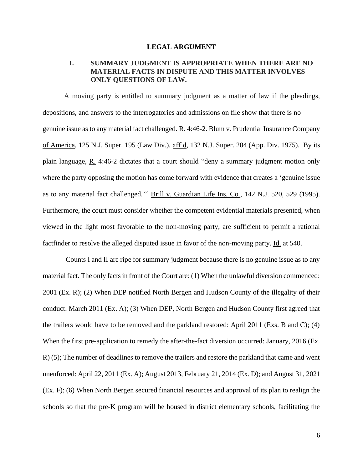### **LEGAL ARGUMENT**

# **I. SUMMARY JUDGMENT IS APPROPRIATE WHEN THERE ARE NO MATERIAL FACTS IN DISPUTE AND THIS MATTER INVOLVES ONLY QUESTIONS OF LAW.**

A moving party is entitled to summary judgment as a matter of law if the pleadings, depositions, and answers to the interrogatories and admissions on file show that there is no genuine issue as to any material fact challenged. R. 4:46-2. Blum v. Prudential Insurance Company of America, 125 N.J. Super. 195 (Law Div.), aff'd, 132 N.J. Super. 204 (App. Div. 1975). By its plain language,  $\underline{R}$ . 4:46-2 dictates that a court should "deny a summary judgment motion only where the party opposing the motion has come forward with evidence that creates a 'genuine issue as to any material fact challenged.'" Brill v. Guardian Life Ins. Co., 142 N.J. 520, 529 (1995). Furthermore, the court must consider whether the competent evidential materials presented, when viewed in the light most favorable to the non-moving party, are sufficient to permit a rational factfinder to resolve the alleged disputed issue in favor of the non-moving party. Id. at 540.

Counts I and II are ripe for summary judgment because there is no genuine issue as to any material fact. The only facts in front of the Court are: (1) When the unlawful diversion commenced: 2001 (Ex. R); (2) When DEP notified North Bergen and Hudson County of the illegality of their conduct: March 2011 (Ex. A); (3) When DEP, North Bergen and Hudson County first agreed that the trailers would have to be removed and the parkland restored: April 2011 (Exs. B and C); (4) When the first pre-application to remedy the after-the-fact diversion occurred: January, 2016 (Ex. R) (5); The number of deadlines to remove the trailers and restore the parkland that came and went unenforced: April 22, 2011 (Ex. A); August 2013, February 21, 2014 (Ex. D); and August 31, 2021 (Ex. F); (6) When North Bergen secured financial resources and approval of its plan to realign the schools so that the pre-K program will be housed in district elementary schools, facilitating the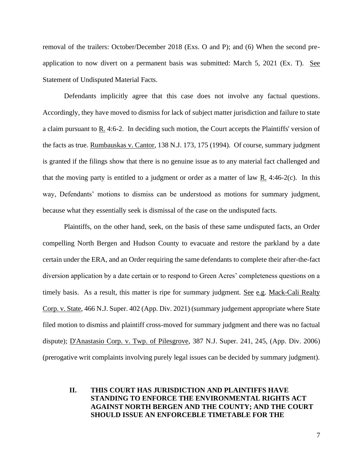removal of the trailers: October/December 2018 (Exs. O and P); and (6) When the second preapplication to now divert on a permanent basis was submitted: March 5, 2021 (Ex. T). See Statement of Undisputed Material Facts.

Defendants implicitly agree that this case does not involve any factual questions. Accordingly, they have moved to dismiss for lack of subject matter jurisdiction and failure to state a claim pursuant to  $R_1$ . 4:6-2. In deciding such motion, the Court accepts the Plaintiffs' version of the facts as true. Rumbauskas v. Cantor, 138 N.J. 173, 175 (1994). Of course, summary judgment is granted if the filings show that there is no genuine issue as to any material fact challenged and that the moving party is entitled to a judgment or order as a matter of law R. 4:46-2(c). In this way, Defendants' motions to dismiss can be understood as motions for summary judgment, because what they essentially seek is dismissal of the case on the undisputed facts.

Plaintiffs, on the other hand, seek, on the basis of these same undisputed facts, an Order compelling North Bergen and Hudson County to evacuate and restore the parkland by a date certain under the ERA, and an Order requiring the same defendants to complete their after-the-fact diversion application by a date certain or to respond to Green Acres' completeness questions on a timely basis. As a result, this matter is ripe for summary judgment. See e.g. Mack-Cali Realty Corp. v. State, 466 N.J. Super. 402 (App. Div. 2021) (summary judgement appropriate where State filed motion to dismiss and plaintiff cross-moved for summary judgment and there was no factual dispute); <u>D'Anastasio Corp. v. Twp. of Pilesgrove</u>, 387 N.J. Super. 241, 245, (App. Div. 2006) (prerogative writ complaints involving purely legal issues can be decided by summary judgment).

## **II. THIS COURT HAS JURISDICTION AND PLAINTIFFS HAVE STANDING TO ENFORCE THE ENVIRONMENTAL RIGHTS ACT AGAINST NORTH BERGEN AND THE COUNTY; AND THE COURT SHOULD ISSUE AN ENFORCEBLE TIMETABLE FOR THE**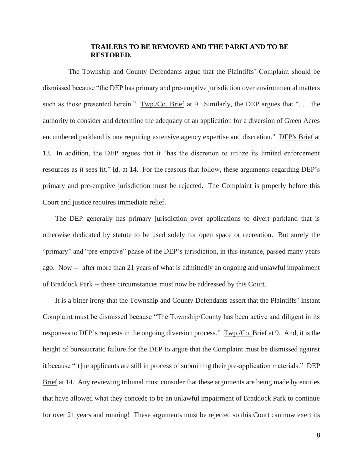## **TRAILERS TO BE REMOVED AND THE PARKLAND TO BE RESTORED.**

 The Township and County Defendants argue that the Plaintiffs' Complaint should be dismissed because "the DEP has primary and pre-emptive jurisdiction over environmental matters such as those presented herein." Twp./Co. Brief at 9. Similarly, the DEP argues that "... the authority to consider and determine the adequacy of an application for a diversion of Green Acres encumbered parkland is one requiring extensive agency expertise and discretion." DEP's Brief at 13. In addition, the DEP argues that it "has the discretion to utilize its limited enforcement resources as it sees fit." Id. at 14. For the reasons that follow, these arguments regarding DEP's primary and pre-emptive jurisdiction must be rejected. The Complaint is properly before this Court and justice requires immediate relief.

 The DEP generally has primary jurisdiction over applications to divert parkland that is otherwise dedicated by statute to be used solely for open space or recreation. But surely the "primary" and "pre-emptive" phase of the DEP's jurisdiction, in this instance, passed many years ago. Now -- after more than 21 years of what is admittedly an ongoing and unlawful impairment of Braddock Park -- these circumstances must now be addressed by this Court.

 It is a bitter irony that the Township and County Defendants assert that the Plaintiffs' instant Complaint must be dismissed because "The Township/County has been active and diligent in its responses to DEP's requests in the ongoing diversion process." Twp./Co. Brief at 9. And, it is the height of bureaucratic failure for the DEP to argue that the Complaint must be dismissed against it because "[t]he applicants are still in process of submitting their pre-application materials." DEP Brief at 14. Any reviewing tribunal must consider that these arguments are being made by entities that have allowed what they concede to be an unlawful impairment of Braddock Park to continue for over 21 years and running! These arguments must be rejected so this Court can now exert its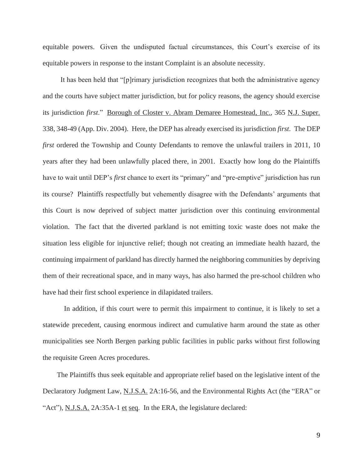equitable powers. Given the undisputed factual circumstances, this Court's exercise of its equitable powers in response to the instant Complaint is an absolute necessity.

 It has been held that "[p]rimary jurisdiction recognizes that both the administrative agency and the courts have subject matter jurisdiction, but for policy reasons, the agency should exercise its jurisdiction *first*." Borough of Closter v. Abram Demaree Homestead, Inc., 365 N.J. Super. 338, 348-49 (App. Div. 2004). Here, the DEP has already exercised its jurisdiction *first*. The DEP *first* ordered the Township and County Defendants to remove the unlawful trailers in 2011, 10 years after they had been unlawfully placed there, in 2001. Exactly how long do the Plaintiffs have to wait until DEP's *first* chance to exert its "primary" and "pre-emptive" jurisdiction has run its course? Plaintiffs respectfully but vehemently disagree with the Defendants' arguments that this Court is now deprived of subject matter jurisdiction over this continuing environmental violation. The fact that the diverted parkland is not emitting toxic waste does not make the situation less eligible for injunctive relief; though not creating an immediate health hazard, the continuing impairment of parkland has directly harmed the neighboring communities by depriving them of their recreational space, and in many ways, has also harmed the pre-school children who have had their first school experience in dilapidated trailers.

In addition, if this court were to permit this impairment to continue, it is likely to set a statewide precedent, causing enormous indirect and cumulative harm around the state as other municipalities see North Bergen parking public facilities in public parks without first following the requisite Green Acres procedures.

 The Plaintiffs thus seek equitable and appropriate relief based on the legislative intent of the Declaratory Judgment Law, N.J.S.A. 2A:16-56, and the Environmental Rights Act (the "ERA" or "Act"), N.J.S.A. 2A:35A-1 et seq. In the ERA, the legislature declared: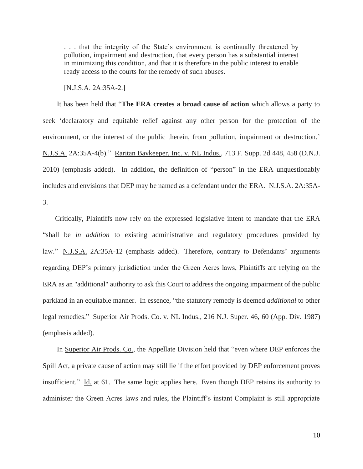. . . that the integrity of the State's environment is continually threatened by pollution, impairment and destruction, that every person has a substantial interest in minimizing this condition, and that it is therefore in the public interest to enable ready access to the courts for the remedy of such abuses.

[N.J.S.A. 2A:35A-2.]

 It has been held that "**The ERA creates a broad cause of action** which allows a party to seek 'declaratory and equitable relief against any other person for the protection of the environment, or the interest of the public therein, from pollution, impairment or destruction.' N.J.S.A. 2A:35A-4(b)." Raritan Baykeeper, Inc. v. NL Indus., 713 F. Supp. 2d 448, 458 (D.N.J. 2010) (emphasis added). In addition, the definition of "person" in the ERA unquestionably includes and envisions that DEP may be named as a defendant under the ERA. N.J.S.A. 2A:35A-3.

 Critically, Plaintiffs now rely on the expressed legislative intent to mandate that the ERA "shall be *in addition* to existing administrative and regulatory procedures provided by law." N.J.S.A. 2A:35A-12 (emphasis added). Therefore, contrary to Defendants' arguments regarding DEP's primary jurisdiction under the Green Acres laws, Plaintiffs are relying on the ERA as an "additional" authority to ask this Court to address the ongoing impairment of the public parkland in an equitable manner. In essence, "the statutory remedy is deemed *additional* to other legal remedies." Superior Air Prods. Co. v. NL Indus., 216 N.J. Super. 46, 60 (App. Div. 1987) (emphasis added).

In Superior Air Prods. Co., the Appellate Division held that "even where DEP enforces the Spill Act, a private cause of action may still lie if the effort provided by DEP enforcement proves insufficient." Id. at 61. The same logic applies here. Even though DEP retains its authority to administer the Green Acres laws and rules, the Plaintiff's instant Complaint is still appropriate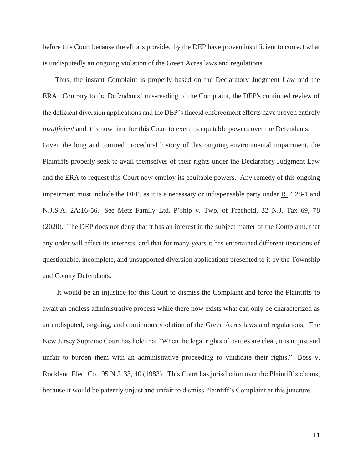before this Court because the efforts provided by the DEP have proven insufficient to correct what is undisputedly an ongoing violation of the Green Acres laws and regulations.

 Thus, the instant Complaint is properly based on the Declaratory Judgment Law and the ERA. Contrary to the Defendants' mis-reading of the Complaint, the DEP's continued review of the deficient diversion applications and the DEP's flaccid enforcement efforts have proven entirely *insufficient* and it is now time for this Court to exert its equitable powers over the Defendants.

Given the long and tortured procedural history of this ongoing environmental impairment, the Plaintiffs properly seek to avail themselves of their rights under the Declaratory Judgment Law and the ERA to request this Court now employ its equitable powers. Any remedy of this ongoing impairment must include the DEP, as it is a necessary or indispensable party under R. 4:28-1 and N.J.S.A. 2A:16-56. See Metz Family Ltd. P'ship v. Twp. of Freehold, 32 N.J. Tax 69, 78 (2020). The DEP does not deny that it has an interest in the subject matter of the Complaint, that any order will affect its interests, and that for many years it has entertained different iterations of questionable, incomplete, and unsupported diversion applications presented to it by the Township and County Defendants.

 It would be an injustice for this Court to dismiss the Complaint and force the Plaintiffs to await an endless administrative process while there now exists what can only be characterized as an undisputed, ongoing, and continuous violation of the Green Acres laws and regulations. The New Jersey Supreme Court has held that "When the legal rights of parties are clear, it is unjust and unfair to burden them with an administrative proceeding to vindicate their rights." Boss v. Rockland Elec. Co., 95 N.J. 33, 40 (1983). This Court has jurisdiction over the Plaintiff's claims, because it would be patently unjust and unfair to dismiss Plaintiff's Complaint at this juncture.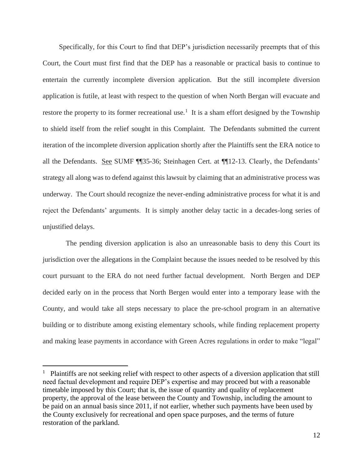Specifically, for this Court to find that DEP's jurisdiction necessarily preempts that of this Court, the Court must first find that the DEP has a reasonable or practical basis to continue to entertain the currently incomplete diversion application. But the still incomplete diversion application is futile, at least with respect to the question of when North Bergan will evacuate and restore the property to its former recreational use.<sup>1</sup> It is a sham effort designed by the Township to shield itself from the relief sought in this Complaint. The Defendants submitted the current iteration of the incomplete diversion application shortly after the Plaintiffs sent the ERA notice to all the Defendants. See SUMF ¶¶35-36; Steinhagen Cert. at ¶¶12-13. Clearly, the Defendants' strategy all along was to defend against this lawsuit by claiming that an administrative process was underway. The Court should recognize the never-ending administrative process for what it is and reject the Defendants' arguments. It is simply another delay tactic in a decades-long series of unjustified delays.

 The pending diversion application is also an unreasonable basis to deny this Court its jurisdiction over the allegations in the Complaint because the issues needed to be resolved by this court pursuant to the ERA do not need further factual development. North Bergen and DEP decided early on in the process that North Bergen would enter into a temporary lease with the County, and would take all steps necessary to place the pre-school program in an alternative building or to distribute among existing elementary schools, while finding replacement property and making lease payments in accordance with Green Acres regulations in order to make "legal"

<sup>&</sup>lt;sup>1</sup> Plaintiffs are not seeking relief with respect to other aspects of a diversion application that still need factual development and require DEP's expertise and may proceed but with a reasonable timetable imposed by this Court; that is, the issue of quantity and quality of replacement property, the approval of the lease between the County and Township, including the amount to be paid on an annual basis since 2011, if not earlier, whether such payments have been used by the County exclusively for recreational and open space purposes, and the terms of future restoration of the parkland.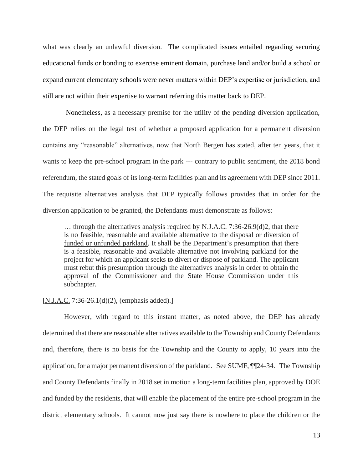what was clearly an unlawful diversion. The complicated issues entailed regarding securing educational funds or bonding to exercise eminent domain, purchase land and/or build a school or expand current elementary schools were never matters within DEP's expertise or jurisdiction, and still are not within their expertise to warrant referring this matter back to DEP.

 Nonetheless, as a necessary premise for the utility of the pending diversion application, the DEP relies on the legal test of whether a proposed application for a permanent diversion contains any "reasonable" alternatives, now that North Bergen has stated, after ten years, that it wants to keep the pre-school program in the park --- contrary to public sentiment, the 2018 bond referendum, the stated goals of its long-term facilities plan and its agreement with DEP since 2011. The requisite alternatives analysis that DEP typically follows provides that in order for the diversion application to be granted, the Defendants must demonstrate as follows:

… through the alternatives analysis required by N.J.A.C. 7:36-26.9(d)2, that there is no feasible, reasonable and available alternative to the disposal or diversion of funded or unfunded parkland. It shall be the Department's presumption that there is a feasible, reasonable and available alternative not involving parkland for the project for which an applicant seeks to divert or dispose of parkland. The applicant must rebut this presumption through the alternatives analysis in order to obtain the approval of the Commissioner and the State House Commission under this subchapter.

### $[N.J.A.C. 7:36-26.1(d)(2),$  (emphasis added).]

 However, with regard to this instant matter, as noted above, the DEP has already determined that there are reasonable alternatives available to the Township and County Defendants and, therefore, there is no basis for the Township and the County to apply, 10 years into the application, for a major permanent diversion of the parkland. See SUMF, ¶¶24-34. The Township and County Defendants finally in 2018 set in motion a long-term facilities plan, approved by DOE and funded by the residents, that will enable the placement of the entire pre-school program in the district elementary schools. It cannot now just say there is nowhere to place the children or the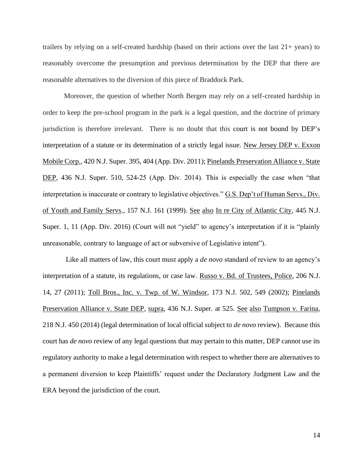trailers by relying on a self-created hardship (based on their actions over the last 21+ years) to reasonably overcome the presumption and previous determination by the DEP that there are reasonable alternatives to the diversion of this piece of Braddock Park.

Moreover, the question of whether North Bergen may rely on a self-created hardship in order to keep the pre-school program in the park is a legal question, and the doctrine of primary jurisdiction is therefore irrelevant. There is no doubt that this court is not bound by DEP's interpretation of a statute or its determination of a strictly legal issue. New Jersey DEP v. Exxon Mobile Corp., 420 N.J. Super. 395, 404 (App. Div. 2011); Pinelands Preservation Alliance v. State DEP, 436 N.J. Super. 510, 524-25 (App. Div. 2014). This is especially the case when "that interpretation is inaccurate or contrary to legislative objectives." G.S. Dep't of Human Servs., Div. of Youth and Family Servs., 157 N.J. 161 (1999). See also In re City of Atlantic City, 445 N.J. Super. 1, 11 (App. Div. 2016) (Court will not "yield" to agency's interpretation if it is "plainly unreasonable, contrary to language of act or subversive of Legislative intent").

Like all matters of law, this court must apply a *de novo* standard of review to an agency's interpretation of a statute, its regulations, or case law. Russo v. Bd. of Trustees, Police, 206 N.J. 14, 27 (2011); Toll Bros., Inc. v. Twp. of W. Windsor, 173 N.J. 502, 549 (2002); Pinelands Preservation Alliance v. State DEP, supra, 436 N.J. Super. at 525. See also Tumpson v. Farina, 218 N.J. 450 (2014) (legal determination of local official subject to *de novo* review). Because this court has *de novo* review of any legal questions that may pertain to this matter, DEP cannot use its regulatory authority to make a legal determination with respect to whether there are alternatives to a permanent diversion to keep Plaintiffs' request under the Declaratory Judgment Law and the ERA beyond the jurisdiction of the court.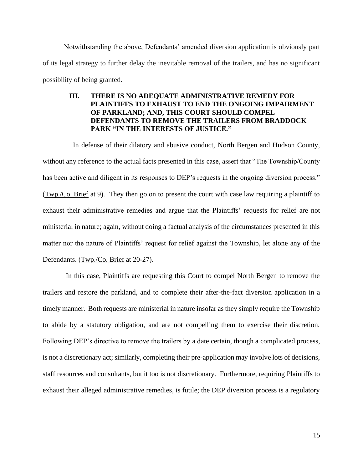Notwithstanding the above, Defendants' amended diversion application is obviously part of its legal strategy to further delay the inevitable removal of the trailers, and has no significant possibility of being granted.

# **III. THERE IS NO ADEQUATE ADMINISTRATIVE REMEDY FOR PLAINTIFFS TO EXHAUST TO END THE ONGOING IMPAIRMENT OF PARKLAND; AND, THIS COURT SHOULD COMPEL DEFENDANTS TO REMOVE THE TRAILERS FROM BRADDOCK PARK "IN THE INTERESTS OF JUSTICE."**

 In defense of their dilatory and abusive conduct, North Bergen and Hudson County, without any reference to the actual facts presented in this case, assert that "The Township/County has been active and diligent in its responses to DEP's requests in the ongoing diversion process." (Twp./Co. Brief at 9). They then go on to present the court with case law requiring a plaintiff to exhaust their administrative remedies and argue that the Plaintiffs' requests for relief are not ministerial in nature; again, without doing a factual analysis of the circumstances presented in this matter nor the nature of Plaintiffs' request for relief against the Township, let alone any of the Defendants. (Twp./Co. Brief at 20-27).

 In this case, Plaintiffs are requesting this Court to compel North Bergen to remove the trailers and restore the parkland, and to complete their after-the-fact diversion application in a timely manner. Both requests are ministerial in nature insofar as they simply require the Township to abide by a statutory obligation, and are not compelling them to exercise their discretion. Following DEP's directive to remove the trailers by a date certain, though a complicated process, is not a discretionary act; similarly, completing their pre-application may involve lots of decisions, staff resources and consultants, but it too is not discretionary. Furthermore, requiring Plaintiffs to exhaust their alleged administrative remedies, is futile; the DEP diversion process is a regulatory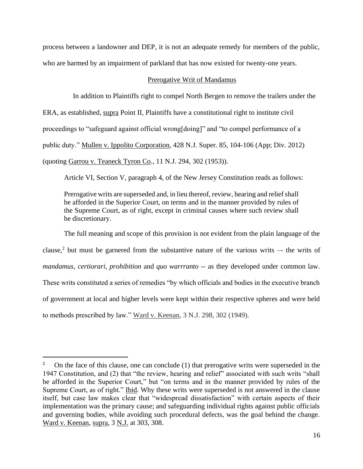process between a landowner and DEP, it is not an adequate remedy for members of the public, who are harmed by an impairment of parkland that has now existed for twenty-one years.

### Prerogative Writ of Mandamus

In addition to Plaintiffs right to compel North Bergen to remove the trailers under the

ERA, as established, supra Point II, Plaintiffs have a constitutional right to institute civil

proceedings to "safeguard against official wrong[doing]" and "to compel performance of a

public duty." Mullen v. Ippolito Corporation, 428 N.J. Super. 85, 104-106 (App; Div. 2012)

(quoting Garrou v. Teaneck Tyron Co., 11 N.J. 294, 302 (1953)).

Article VI, Section V, paragraph 4, of the New Jersey Constitution reads as follows:

Prerogative writs are superseded and, in lieu thereof, review, hearing and relief shall be afforded in the Superior Court, on terms and in the manner provided by rules of the Supreme Court, as of right, except in criminal causes where such review shall be discretionary.

The full meaning and scope of this provision is not evident from the plain language of the clause,<sup>2</sup> but must be garnered from the substantive nature of the various writs  $-$  the writs of *mandamus, certiorari*, *prohibition* and *quo warrranto* -- as they developed under common law. These writs constituted a series of remedies "by which officials and bodies in the executive branch of government at local and higher levels were kept within their respective spheres and were held to methods prescribed by law." Ward v. Keenan, 3 N.J. 298, 302 (1949).

<sup>2</sup> On the face of this clause, one can conclude (1) that prerogative writs were superseded in the 1947 Constitution, and (2) that "the review, hearing and relief" associated with such writs "shall be afforded in the Superior Court," but "on terms and in the manner provided by rules of the Supreme Court, as of right." Ibid. Why these writs were superseded is not answered in the clause itself, but case law makes clear that "widespread dissatisfaction" with certain aspects of their implementation was the primary cause; and safeguarding individual rights against public officials and governing bodies, while avoiding such procedural defects, was the goal behind the change. Ward v. Keenan, supra, 3 N.J. at 303, 308.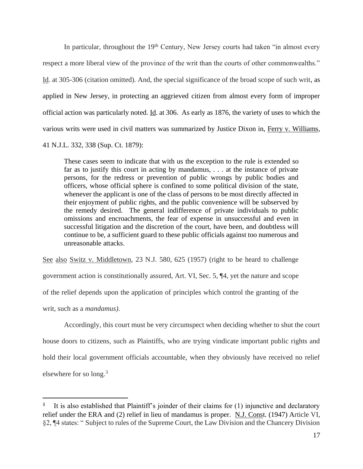In particular, throughout the 19<sup>th</sup> Century, New Jersey courts had taken "in almost every respect a more liberal view of the province of the writ than the courts of other commonwealths." Id. at 305-306 (citation omitted). And, the special significance of the broad scope of such writ, as applied in New Jersey, in protecting an aggrieved citizen from almost every form of improper official action was particularly noted. Id. at 306. As early as 1876, the variety of uses to which the various writs were used in civil matters was summarized by Justice Dixon in, Ferry v. Williams,

41 N.J.L. 332, 338 (Sup. Ct. 1879):

These cases seem to indicate that with us the exception to the rule is extended so far as to justify this court in acting by mandamus, . . . at the instance of private persons, for the redress or prevention of public wrongs by public bodies and officers, whose official sphere is confined to some political division of the state, whenever the applicant is one of the class of persons to be most directly affected in their enjoyment of public rights, and the public convenience will be subserved by the remedy desired. The general indifference of private individuals to public omissions and encroachments, the fear of expense in unsuccessful and even in successful litigation and the discretion of the court, have been, and doubtless will continue to be, a sufficient guard to these public officials against too numerous and unreasonable attacks.

See also Switz v. Middletown, 23 N.J. 580, 625 (1957) (right to be heard to challenge government action is constitutionally assured, Art. VI, Sec. 5, ¶4, yet the nature and scope of the relief depends upon the application of principles which control the granting of the writ, such as a *mandamus)*.

Accordingly, this court must be very circumspect when deciding whether to shut the court house doors to citizens, such as Plaintiffs, who are trying vindicate important public rights and hold their local government officials accountable, when they obviously have received no relief elsewhere for so long.<sup>3</sup>

<sup>3</sup> It is also established that Plaintiff's joinder of their claims for (1) injunctive and declaratory relief under the ERA and (2) relief in lieu of mandamus is proper. N.J. Const. (1947) Article VI, §2, ¶4 states: " Subject to rules of the Supreme Court, the Law Division and the Chancery Division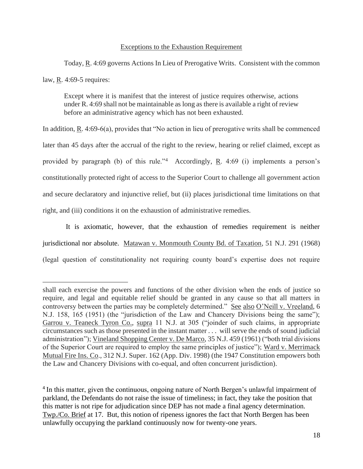### Exceptions to the Exhaustion Requirement

Today, R. 4:69 governs Actions In Lieu of Prerogative Writs. Consistent with the common law, R. 4:69-5 requires:

Except where it is manifest that the interest of justice requires otherwise, actions under R. 4:69 shall not be maintainable as long as there is available a right of review before an administrative agency which has not been exhausted.

In addition,  $R$ . 4:69-6(a), provides that "No action in lieu of prerogative writs shall be commenced later than 45 days after the accrual of the right to the review, hearing or relief claimed, except as provided by paragraph (b) of this rule.<sup>34</sup> Accordingly, **R**. 4:69 (i) implements a person's constitutionally protected right of access to the Superior Court to challenge all government action and secure declaratory and injunctive relief, but (ii) places jurisdictional time limitations on that right, and (iii) conditions it on the exhaustion of administrative remedies.

 It is axiomatic, however, that the exhaustion of remedies requirement is neither jurisdictional nor absolute. Matawan v. Monmouth County Bd. of Taxation, 51 N.J. 291 (1968) (legal question of constitutionality not requiring county board's expertise does not require

shall each exercise the powers and functions of the other division when the ends of justice so require, and legal and equitable relief should be granted in any cause so that all matters in controversy between the parties may be completely determined." See also O'Neill v. Vreeland, 6 N.J. 158, 165 (1951) (the "jurisdiction of the Law and Chancery Divisions being the same"); Garrou v. Teaneck Tyron Co., supra 11 N.J. at 305 ("joinder of such claims, in appropriate circumstances such as those presented in the instant matter . . . will serve the ends of sound judicial administration"); Vineland Shopping Center v. De Marco, 35 N.J. 459 (1961) ("both trial divisions of the Superior Court are required to employ the same principles of justice"); Ward v. Merrimack Mutual Fire Ins. Co., 312 N.J. Super. 162 (App. Div. 1998) (the 1947 Constitution empowers both the Law and Chancery Divisions with co-equal, and often concurrent jurisdiction).

<sup>&</sup>lt;sup>4</sup> In this matter, given the continuous, ongoing nature of North Bergen's unlawful impairment of parkland, the Defendants do not raise the issue of timeliness; in fact, they take the position that this matter is not ripe for adjudication since DEP has not made a final agency determination. Twp./Co. Brief at 17. But, this notion of ripeness ignores the fact that North Bergen has been unlawfully occupying the parkland continuously now for twenty-one years.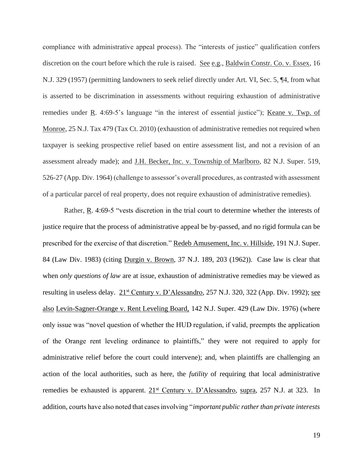compliance with administrative appeal process). The "interests of justice" qualification confers discretion on the court before which the rule is raised. See e.g., Baldwin Constr. Co. v. Essex, 16 N.J. 329 (1957) (permitting landowners to seek relief directly under Art. VI, Sec. 5, ¶4, from what is asserted to be discrimination in assessments without requiring exhaustion of administrative remedies under R. 4:69-5's language "in the interest of essential justice"); Keane v. Twp. of Monroe, 25 N.J. Tax 479 (Tax Ct. 2010) (exhaustion of administrative remedies not required when taxpayer is seeking prospective relief based on entire assessment list, and not a revision of an assessment already made); and J.H. Becker, Inc. v. Township of Marlboro, 82 N.J. Super. 519, 526-27 (App. Div. 1964) (challenge to assessor's overall procedures, as contrasted with assessment of a particular parcel of real property, does not require exhaustion of administrative remedies).

Rather, R. 4:69-5 "vests discretion in the trial court to determine whether the interests of justice require that the process of administrative appeal be by-passed, and no rigid formula can be prescribed for the exercise of that discretion." Redeb Amusement, Inc. v. Hillside, 191 N.J. Super. 84 (Law Div. 1983) (citing Durgin v. Brown, 37 N.J. 189, 203 (1962)). Case law is clear that when *only questions of law* are at issue, exhaustion of administrative remedies may be viewed as resulting in useless delay. 21<sup>st</sup> Century v. D'Alessandro, 257 N.J. 320, 322 (App. Div. 1992); see also Levin-Sagner-Orange v. Rent Leveling Board, 142 N.J. Super. 429 (Law Div. 1976) (where only issue was "novel question of whether the HUD regulation, if valid, preempts the application of the Orange rent leveling ordinance to plaintiffs," they were not required to apply for administrative relief before the court could intervene); and, when plaintiffs are challenging an action of the local authorities, such as here, the *futility* of requiring that local administrative remedies be exhausted is apparent.  $21^{st}$  Century v. D'Alessandro, supra, 257 N.J. at 323. In addition, courts have also noted that cases involving "*important public rather than private interests*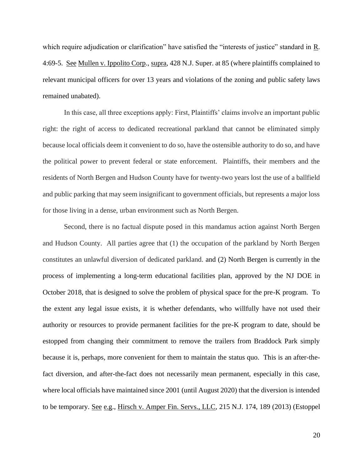which require adjudication or clarification" have satisfied the "interests of justice" standard in R. 4:69-5. See Mullen v. Ippolito Corp., supra, 428 N.J. Super. at 85 (where plaintiffs complained to relevant municipal officers for over 13 years and violations of the zoning and public safety laws remained unabated).

In this case, all three exceptions apply: First, Plaintiffs' claims involve an important public right: the right of access to dedicated recreational parkland that cannot be eliminated simply because local officials deem it convenient to do so, have the ostensible authority to do so, and have the political power to prevent federal or state enforcement. Plaintiffs, their members and the residents of North Bergen and Hudson County have for twenty-two years lost the use of a ballfield and public parking that may seem insignificant to government officials, but represents a major loss for those living in a dense, urban environment such as North Bergen.

Second, there is no factual dispute posed in this mandamus action against North Bergen and Hudson County. All parties agree that (1) the occupation of the parkland by North Bergen constitutes an unlawful diversion of dedicated parkland. and (2) North Bergen is currently in the process of implementing a long-term educational facilities plan, approved by the NJ DOE in October 2018, that is designed to solve the problem of physical space for the pre-K program. To the extent any legal issue exists, it is whether defendants, who willfully have not used their authority or resources to provide permanent facilities for the pre-K program to date, should be estopped from changing their commitment to remove the trailers from Braddock Park simply because it is, perhaps, more convenient for them to maintain the status quo. This is an after-thefact diversion, and after-the-fact does not necessarily mean permanent, especially in this case, where local officials have maintained since 2001 (until August 2020) that the diversion is intended to be temporary. See e.g., Hirsch v. Amper Fin. Servs., LLC, 215 N.J. 174, 189 (2013) (Estoppel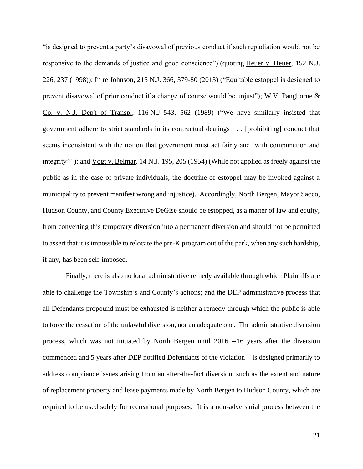"is designed to prevent a party's disavowal of previous conduct if such repudiation would not be responsive to the demands of justice and good conscience") (quoting Heuer v. Heuer, 152 N.J. 226, 237 (1998)); In re Johnson, 215 N.J. 366, 379-80 (2013) ("Equitable estoppel is designed to prevent disavowal of prior conduct if a change of course would be unjust"); W.V. Pangborne & Co. v. N.J. Dep't of Transp., 116 N.J. 543, 562 (1989) ("We have similarly insisted that government adhere to strict standards in its contractual dealings . . . [prohibiting] conduct that seems inconsistent with the notion that government must act fairly and 'with compunction and integrity'" ); and Vogt v. Belmar, 14 N.J. 195, 205 (1954) (While not applied as freely against the public as in the case of private individuals, the doctrine of estoppel may be invoked against a municipality to prevent manifest wrong and injustice). Accordingly, North Bergen, Mayor Sacco, Hudson County, and County Executive DeGise should be estopped, as a matter of law and equity, from converting this temporary diversion into a permanent diversion and should not be permitted to assert that it is impossible to relocate the pre-K program out of the park, when any such hardship, if any, has been self-imposed.

Finally, there is also no local administrative remedy available through which Plaintiffs are able to challenge the Township's and County's actions; and the DEP administrative process that all Defendants propound must be exhausted is neither a remedy through which the public is able to force the cessation of the unlawful diversion, nor an adequate one. The administrative diversion process, which was not initiated by North Bergen until 2016 --16 years after the diversion commenced and 5 years after DEP notified Defendants of the violation – is designed primarily to address compliance issues arising from an after-the-fact diversion, such as the extent and nature of replacement property and lease payments made by North Bergen to Hudson County, which are required to be used solely for recreational purposes. It is a non-adversarial process between the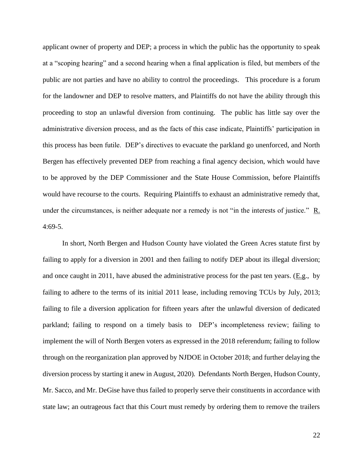applicant owner of property and DEP; a process in which the public has the opportunity to speak at a "scoping hearing" and a second hearing when a final application is filed, but members of the public are not parties and have no ability to control the proceedings. This procedure is a forum for the landowner and DEP to resolve matters, and Plaintiffs do not have the ability through this proceeding to stop an unlawful diversion from continuing. The public has little say over the administrative diversion process, and as the facts of this case indicate, Plaintiffs' participation in this process has been futile. DEP's directives to evacuate the parkland go unenforced, and North Bergen has effectively prevented DEP from reaching a final agency decision, which would have to be approved by the DEP Commissioner and the State House Commission, before Plaintiffs would have recourse to the courts. Requiring Plaintiffs to exhaust an administrative remedy that, under the circumstances, is neither adequate nor a remedy is not "in the interests of justice."  $R$ . 4:69-5.

 In short, North Bergen and Hudson County have violated the Green Acres statute first by failing to apply for a diversion in 2001 and then failing to notify DEP about its illegal diversion; and once caught in 2011, have abused the administrative process for the past ten years. ( $E.g.,$  by failing to adhere to the terms of its initial 2011 lease, including removing TCUs by July, 2013; failing to file a diversion application for fifteen years after the unlawful diversion of dedicated parkland; failing to respond on a timely basis to DEP's incompleteness review; failing to implement the will of North Bergen voters as expressed in the 2018 referendum; failing to follow through on the reorganization plan approved by NJDOE in October 2018; and further delaying the diversion process by starting it anew in August, 2020). Defendants North Bergen, Hudson County, Mr. Sacco, and Mr. DeGise have thus failed to properly serve their constituents in accordance with state law; an outrageous fact that this Court must remedy by ordering them to remove the trailers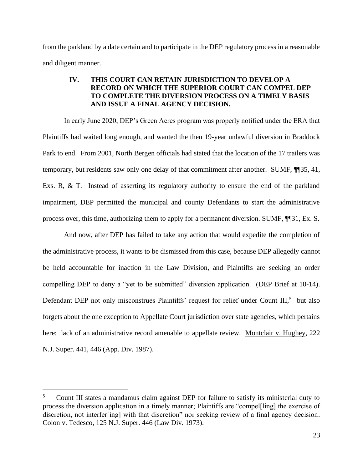from the parkland by a date certain and to participate in the DEP regulatory process in a reasonable and diligent manner.

# **IV. THIS COURT CAN RETAIN JURISDICTION TO DEVELOP A RECORD ON WHICH THE SUPERIOR COURT CAN COMPEL DEP TO COMPLETE THE DIVERSION PROCESS ON A TIMELY BASIS AND ISSUE A FINAL AGENCY DECISION.**

In early June 2020, DEP's Green Acres program was properly notified under the ERA that Plaintiffs had waited long enough, and wanted the then 19-year unlawful diversion in Braddock Park to end. From 2001, North Bergen officials had stated that the location of the 17 trailers was temporary, but residents saw only one delay of that commitment after another. SUMF, ¶¶35, 41, Exs. R, & T. Instead of asserting its regulatory authority to ensure the end of the parkland impairment, DEP permitted the municipal and county Defendants to start the administrative process over, this time, authorizing them to apply for a permanent diversion. SUMF, ¶¶31, Ex. S.

And now, after DEP has failed to take any action that would expedite the completion of the administrative process, it wants to be dismissed from this case, because DEP allegedly cannot be held accountable for inaction in the Law Division, and Plaintiffs are seeking an order compelling DEP to deny a "yet to be submitted" diversion application. (DEP Brief at 10-14). Defendant DEP not only misconstrues Plaintiffs' request for relief under Count III,<sup>5</sup> but also forgets about the one exception to Appellate Court jurisdiction over state agencies, which pertains here: lack of an administrative record amenable to appellate review. Montclair v. Hughey, 222 N.J. Super. 441, 446 (App. Div. 1987).

<sup>5</sup> Count III states a mandamus claim against DEP for failure to satisfy its ministerial duty to process the diversion application in a timely manner; Plaintiffs are "compel[ling] the exercise of discretion, not interfer[ing] with that discretion" nor seeking review of a final agency decision. Colon v. Tedesco, 125 N.J. Super. 446 (Law Div. 1973).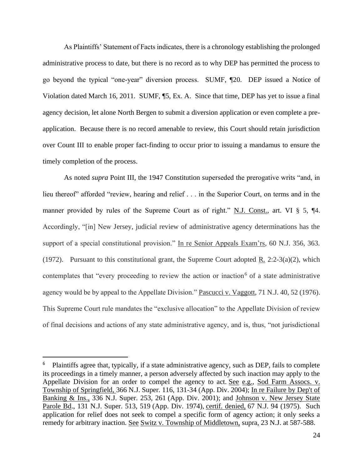As Plaintiffs' Statement of Facts indicates, there is a chronology establishing the prolonged administrative process to date, but there is no record as to why DEP has permitted the process to go beyond the typical "one-year" diversion process. SUMF, ¶20. DEP issued a Notice of Violation dated March 16, 2011. SUMF, ¶5, Ex. A. Since that time, DEP has yet to issue a final agency decision, let alone North Bergen to submit a diversion application or even complete a preapplication. Because there is no record amenable to review, this Court should retain jurisdiction over Count III to enable proper fact-finding to occur prior to issuing a mandamus to ensure the timely completion of the process.

As noted *supra* Point III, the 1947 Constitution superseded the prerogative writs "and, in lieu thereof" afforded "review, hearing and relief . . . in the Superior Court, on terms and in the manner provided by rules of the Supreme Court as of right." N.J. Const., art. VI § 5, ¶4. Accordingly, "[in] New Jersey, judicial review of administrative agency determinations has the support of a special constitutional provision." In re Senior Appeals Exam'rs, 60 N.J. 356, 363. (1972). Pursuant to this constitutional grant, the Supreme Court adopted  $\underline{R}$ . 2:2-3(a)(2), which contemplates that "every proceeding to review the action or inaction<sup>6</sup> of a state administrative agency would be by appeal to the Appellate Division." Pascucci v. Vaggott, 71 N.J. 40, 52 (1976). This Supreme Court rule mandates the "exclusive allocation" to the Appellate Division of review of final decisions and actions of any state administrative agency, and is, thus, "not jurisdictional

<sup>&</sup>lt;sup>6</sup> Plaintiffs agree that, typically, if a state administrative agency, such as DEP, fails to complete its proceedings in a timely manner, a person adversely affected by such inaction may apply to the Appellate Division for an order to compel the agency to act. See e.g., Sod Farm Assocs. v. Township of Springfield, 366 N.J. Super. 116, 131-34 (App. Div. 2004); In re Failure by Dep't of Banking & Ins., 336 N.J. Super. 253, 261 (App. Div. 2001); and Johnson v. New Jersey State Parole Bd., 131 N.J. Super. 513, 519 (App. Div. 1974), certif. denied, 67 N.J. 94 (1975). Such application for relief does not seek to compel a specific form of agency action; it only seeks a remedy for arbitrary inaction. See Switz v. Township of Middletown, supra, 23 N.J. at 587-588.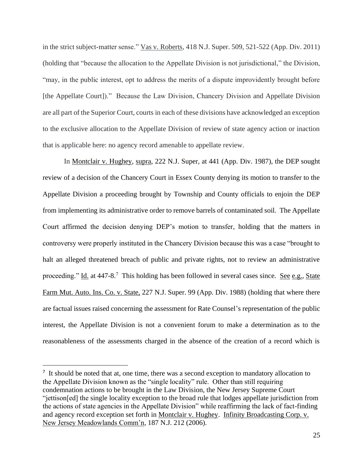in the strict subject-matter sense." Vas v. Roberts, 418 N.J. Super. 509, 521-522 (App. Div. 2011) (holding that "because the allocation to the Appellate Division is not jurisdictional," the Division, "may, in the public interest, opt to address the merits of a dispute improvidently brought before [the Appellate Court])." Because the Law Division, Chancery Division and Appellate Division are all part of the Superior Court, courts in each of these divisions have acknowledged an exception to the exclusive allocation to the Appellate Division of review of state agency action or inaction that is applicable here: no agency record amenable to appellate review.

In Montclair v. Hughey, supra, 222 N.J. Super, at 441 (App. Div. 1987), the DEP sought review of a decision of the Chancery Court in Essex County denying its motion to transfer to the Appellate Division a proceeding brought by Township and County officials to enjoin the DEP from implementing its administrative order to remove barrels of contaminated soil. The Appellate Court affirmed the decision denying DEP's motion to transfer, holding that the matters in controversy were properly instituted in the Chancery Division because this was a case "brought to halt an alleged threatened breach of public and private rights, not to review an administrative proceeding." Id. at 447-8.7 This holding has been followed in several cases since. See e.g., State Farm Mut. Auto. Ins. Co. v. State, 227 N.J. Super. 99 (App. Div. 1988) (holding that where there are factual issues raised concerning the assessment for Rate Counsel's representation of the public interest, the Appellate Division is not a convenient forum to make a determination as to the reasonableness of the assessments charged in the absence of the creation of a record which is

<sup>&</sup>lt;sup>7</sup> It should be noted that at, one time, there was a second exception to mandatory allocation to the Appellate Division known as the "single locality" rule. Other than still requiring condemnation actions to be brought in the Law Division, the New Jersey Supreme Court "jettison[ed] the single locality exception to the broad rule that lodges appellate jurisdiction from the actions of state agencies in the Appellate Division" while reaffirming the lack of fact-finding and agency record exception set forth in Montclair v. Hughey. Infinity Broadcasting Corp. v. New Jersey Meadowlands Comm'n, 187 N.J. 212 (2006).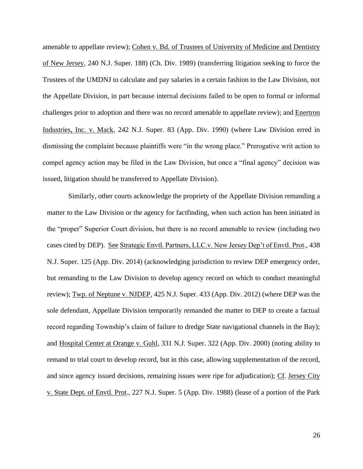amenable to appellate review); Cohen v. Bd. of Trustees of University of Medicine and Dentistry of New Jersey, 240 N.J. Super. 188) (Ch. Div. 1989) (transferring litigation seeking to force the Trustees of the UMDNJ to calculate and pay salaries in a certain fashion to the Law Division, not the Appellate Division, in part because internal decisions failed to be open to formal or informal challenges prior to adoption and there was no record amenable to appellate review); and Enertron Industries, Inc. v. Mack, 242 N.J. Super. 83 (App. Div. 1990) (where Law Division erred in dismissing the complaint because plaintiffs were "in the wrong place." Prerogative writ action to compel agency action may be filed in the Law Division, but once a "final agency" decision was issued, litigation should be transferred to Appellate Division).

Similarly, other courts acknowledge the propriety of the Appellate Division remanding a matter to the Law Division or the agency for factfinding, when such action has been initiated in the "proper" Superior Court division, but there is no record amenable to review (including two cases cited by DEP). See Strategic Envtl. Partners, LLC.v. New Jersey Dep't of Envtl. Prot., 438 N.J. Super. 125 (App. Div. 2014) (acknowledging jurisdiction to review DEP emergency order, but remanding to the Law Division to develop agency record on which to conduct meaningful review); Twp. of Neptune v. NJDEP, 425 N.J. Super. 433 (App. Div. 2012) (where DEP was the sole defendant, Appellate Division temporarily remanded the matter to DEP to create a factual record regarding Township's claim of failure to dredge State navigational channels in the Bay); and Hospital Center at Orange v. Guhl, 331 N.J. Super. 322 (App. Div. 2000) (noting ability to remand to trial court to develop record, but in this case, allowing supplementation of the record, and since agency issued decisions, remaining issues were ripe for adjudication); Cf. Jersey City v. State Dept. of Envtl. Prot., 227 N.J. Super. 5 (App. Div. 1988) (lease of a portion of the Park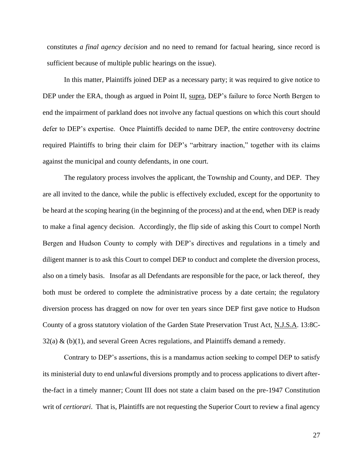constitutes *a final agency decision* and no need to remand for factual hearing, since record is sufficient because of multiple public hearings on the issue).

 In this matter, Plaintiffs joined DEP as a necessary party; it was required to give notice to DEP under the ERA, though as argued in Point II, supra, DEP's failure to force North Bergen to end the impairment of parkland does not involve any factual questions on which this court should defer to DEP's expertise. Once Plaintiffs decided to name DEP, the entire controversy doctrine required Plaintiffs to bring their claim for DEP's "arbitrary inaction," together with its claims against the municipal and county defendants, in one court.

The regulatory process involves the applicant, the Township and County, and DEP. They are all invited to the dance, while the public is effectively excluded, except for the opportunity to be heard at the scoping hearing (in the beginning of the process) and at the end, when DEP is ready to make a final agency decision. Accordingly, the flip side of asking this Court to compel North Bergen and Hudson County to comply with DEP's directives and regulations in a timely and diligent manner is to ask this Court to compel DEP to conduct and complete the diversion process, also on a timely basis. Insofar as all Defendants are responsible for the pace, or lack thereof, they both must be ordered to complete the administrative process by a date certain; the regulatory diversion process has dragged on now for over ten years since DEP first gave notice to Hudson County of a gross statutory violation of the Garden State Preservation Trust Act, N.J.S.A. 13:8C- $32(a)$  & (b)(1), and several Green Acres regulations, and Plaintiffs demand a remedy.

Contrary to DEP's assertions, this is a mandamus action seeking to compel DEP to satisfy its ministerial duty to end unlawful diversions promptly and to process applications to divert afterthe-fact in a timely manner; Count III does not state a claim based on the pre-1947 Constitution writ of *certiorari*. That is, Plaintiffs are not requesting the Superior Court to review a final agency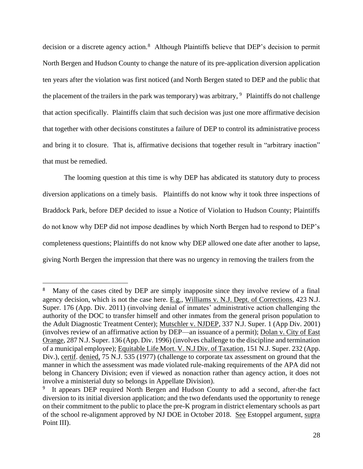decision or a discrete agency action.<sup>8</sup> Although Plaintiffs believe that DEP's decision to permit North Bergen and Hudson County to change the nature of its pre-application diversion application ten years after the violation was first noticed (and North Bergen stated to DEP and the public that the placement of the trailers in the park was temporary) was arbitrary,  $9$  Plaintiffs do not challenge that action specifically. Plaintiffs claim that such decision was just one more affirmative decision that together with other decisions constitutes a failure of DEP to control its administrative process and bring it to closure. That is, affirmative decisions that together result in "arbitrary inaction" that must be remedied.

The looming question at this time is why DEP has abdicated its statutory duty to process diversion applications on a timely basis. Plaintiffs do not know why it took three inspections of Braddock Park, before DEP decided to issue a Notice of Violation to Hudson County; Plaintiffs do not know why DEP did not impose deadlines by which North Bergen had to respond to DEP's completeness questions; Plaintiffs do not know why DEP allowed one date after another to lapse, giving North Bergen the impression that there was no urgency in removing the trailers from the

<sup>8</sup> Many of the cases cited by DEP are simply inapposite since they involve review of a final agency decision, which is not the case here. E.g., Williams v. N.J. Dept. of Corrections, 423 N.J. Super. 176 (App. Div. 2011) (involving denial of inmates' administrative action challenging the authority of the DOC to transfer himself and other inmates from the general prison population to the Adult Diagnostic Treatment Center); Mutschler v. NJDEP, 337 N.J. Super. 1 (App Div. 2001) (involves review of an affirmative action by DEP—an issuance of a permit); Dolan v. City of East Orange, 287 N.J. Super. 136 (App. Div. 1996) (involves challenge to the discipline and termination of a municipal employee); Equitable Life Mort. V. N.J Div. of Taxation, 151 N.J. Super. 232 (App. Div.), certif. denied, 75 N.J. 535 (1977) (challenge to corporate tax assessment on ground that the manner in which the assessment was made violated rule-making requirements of the APA did not belong in Chancery Division; even if viewed as nonaction rather than agency action, it does not involve a ministerial duty so belongs in Appellate Division).

<sup>&</sup>lt;sup>9</sup> It appears DEP required North Bergen and Hudson County to add a second, after-the fact diversion to its initial diversion application; and the two defendants used the opportunity to renege on their commitment to the public to place the pre-K program in district elementary schools as part of the school re-alignment approved by NJ DOE in October 2018. See Estoppel argument, supra Point III).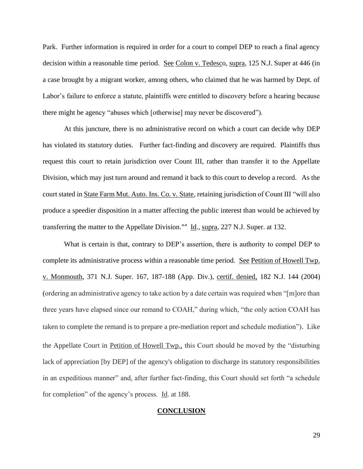Park. Further information is required in order for a court to compel DEP to reach a final agency decision within a reasonable time period. See Colon v. Tedesco, supra, 125 N.J. Super at 446 (in a case brought by a migrant worker, among others, who claimed that he was harmed by Dept. of Labor's failure to enforce a statute, plaintiffs were entitled to discovery before a hearing because there might be agency "abuses which [otherwise] may never be discovered").

At this juncture, there is no administrative record on which a court can decide why DEP has violated its statutory duties. Further fact-finding and discovery are required. Plaintiffs thus request this court to retain jurisdiction over Count III, rather than transfer it to the Appellate Division, which may just turn around and remand it back to this court to develop a record. As the court stated in State Farm Mut. Auto. Ins. Co. v. State, retaining jurisdiction of Count III "will also produce a speedier disposition in a matter affecting the public interest than would be achieved by transferring the matter to the Appellate Division."" Id., supra, 227 N.J. Super. at 132.

What is certain is that, contrary to DEP's assertion, there is authority to compel DEP to complete its administrative process within a reasonable time period. See Petition of Howell Twp. v. Monmouth, 371 N.J. Super. 167, 187-188 (App. Div.), certif. denied, 182 N.J. 144 (2004) (ordering an administrative agency to take action by a date certain was required when "[m]ore than three years have elapsed since our remand to COAH," during which, "the only action COAH has taken to complete the remand is to prepare a pre-mediation report and schedule mediation"). Like the Appellate Court in Petition of Howell Twp., this Court should be moved by the "disturbing lack of appreciation [by DEP] of the agency's obligation to discharge its statutory responsibilities in an expeditious manner" and, after further fact-finding, this Court should set forth "a schedule for completion" of the agency's process. Id. at 188.

#### **CONCLUSION**